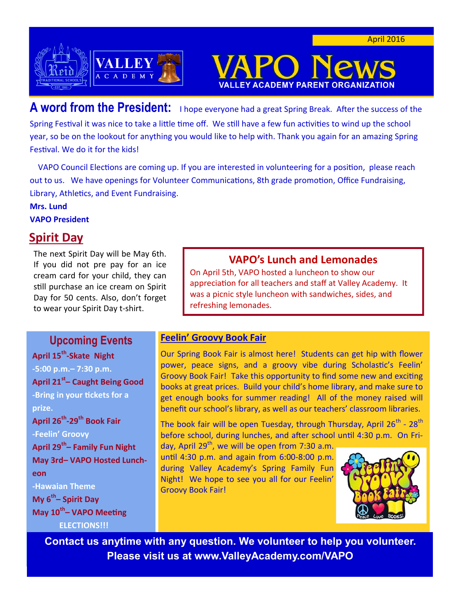

**A word from the President:** I hope everyone had a great Spring Break. After the success of the Spring Festival it was nice to take a little time off. We still have a few fun activities to wind up the school year, so be on the lookout for anything you would like to help with. Thank you again for an amazing Spring Festival. We do it for the kids!

 VAPO Council Elections are coming up. If you are interested in volunteering for a position, please reach out to us. We have openings for Volunteer Communications, 8th grade promotion, Office Fundraising, Library, Athletics, and Event Fundraising.

**Mrs. Lund**

**VAPO President**

# **Spirit Day**

The next Spirit Day will be May 6th. If you did not pre pay for an ice cream card for your child, they can still purchase an ice cream on Spirit Day for 50 cents. Also, don't forget to wear your Spirit Day t-shirt.

## **Upcoming Events**

**April 15th -Skate Night -5:00 p.m.– 7:30 p.m. April 21st – Caught Being Good -Bring in your tickets for a prize. April 26th -29th Book Fair -Feelin' Groovy April 29th – Family Fun Night May 3rd– VAPO Hosted Luncheon -Hawaian Theme My 6th – Spirit Day May 10th – VAPO Meeting**

#### **ELECTIONS!!!**

### **VAPO's Lunch and Lemonades**

**EY ACADEMY PARENT** 

On April 5th, VAPO hosted a luncheon to show our appreciation for all teachers and staff at Valley Academy. It was a picnic style luncheon with sandwiches, sides, and refreshing lemonades.

### **Feelin' Groovy Book Fair**

Our Spring Book Fair is almost here! Students can get hip with flower power, peace signs, and a groovy vibe during Scholastic's Feelin' Groovy Book Fair! Take this opportunity to find some new and exciting books at great prices. Build your child's home library, and make sure to get enough books for summer reading! All of the money raised will benefit our school's library, as well as our teachers' classroom libraries.

The book fair will be open Tuesday, through Thursday, April 26 $^{\rm th}$  - 28 $^{\rm th}$ before school, during lunches, and after school until 4:30 p.m. On Fri-

day, April  $29<sup>th</sup>$ , we will be open from 7:30 a.m. until 4:30 p.m. and again from 6:00-8:00 p.m. during Valley Academy's Spring Family Fun Night! We hope to see you all for our Feelin' Groovy Book Fair!



**Contact us anytime with any question. We volunteer to help you volunteer. Please visit us at www.ValleyAcademy.com/VAPO**